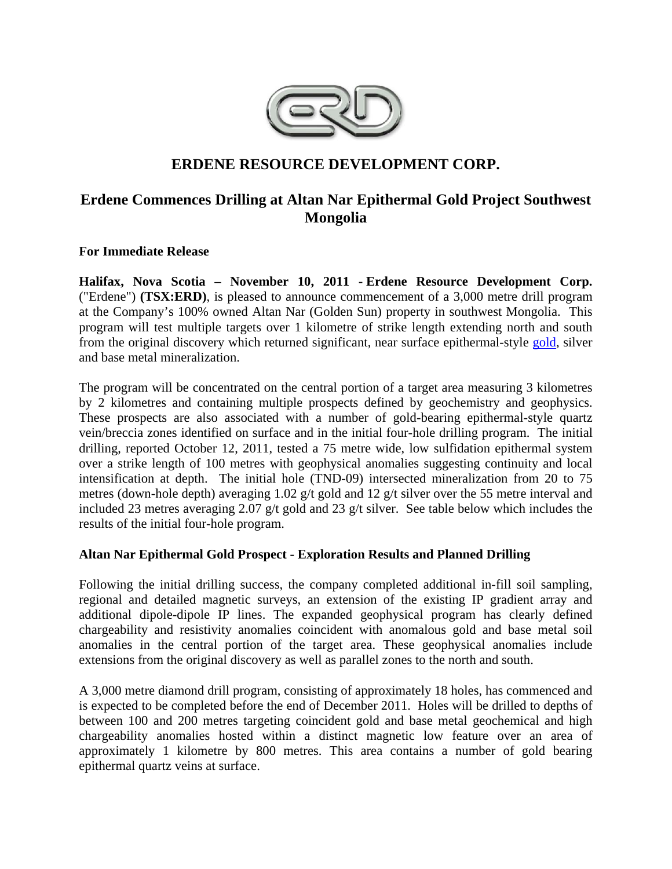

# **ERDENE RESOURCE DEVELOPMENT CORP.**

# **Erdene Commences Drilling at Altan Nar Epithermal Gold Project Southwest Mongolia**

**For Immediate Release** 

**Halifax, Nova Scotia – November 10, 2011 - Erdene Resource Development Corp.**  ("Erdene") **(TSX:ERD)**, is pleased to announce commencement of a 3,000 metre drill program at the Company's 100% owned Altan Nar (Golden Sun) property in southwest Mongolia. This program will test multiple targets over 1 kilometre of strike length extending north and south from the original discovery which returned significant, near surface epithermal-style gold, silver and base metal mineralization.

The program will be concentrated on the central portion of a target area measuring 3 kilometres by 2 kilometres and containing multiple prospects defined by geochemistry and geophysics. These prospects are also associated with a number of gold-bearing epithermal-style quartz vein/breccia zones identified on surface and in the initial four-hole drilling program. The initial drilling, reported October 12, 2011, tested a 75 metre wide, low sulfidation epithermal system over a strike length of 100 metres with geophysical anomalies suggesting continuity and local intensification at depth. The initial hole (TND-09) intersected mineralization from 20 to 75 metres (down-hole depth) averaging 1.02 g/t gold and 12 g/t silver over the 55 metre interval and included 23 metres averaging 2.07  $g/t$  gold and 23  $g/t$  silver. See table below which includes the results of the initial four-hole program.

# **Altan Nar Epithermal Gold Prospect - Exploration Results and Planned Drilling**

Following the initial drilling success, the company completed additional in-fill soil sampling, regional and detailed magnetic surveys, an extension of the existing IP gradient array and additional dipole-dipole IP lines. The expanded geophysical program has clearly defined chargeability and resistivity anomalies coincident with anomalous gold and base metal soil anomalies in the central portion of the target area. These geophysical anomalies include extensions from the original discovery as well as parallel zones to the north and south.

A 3,000 metre diamond drill program, consisting of approximately 18 holes, has commenced and is expected to be completed before the end of December 2011. Holes will be drilled to depths of between 100 and 200 metres targeting coincident gold and base metal geochemical and high chargeability anomalies hosted within a distinct magnetic low feature over an area of approximately 1 kilometre by 800 metres. This area contains a number of gold bearing epithermal quartz veins at surface.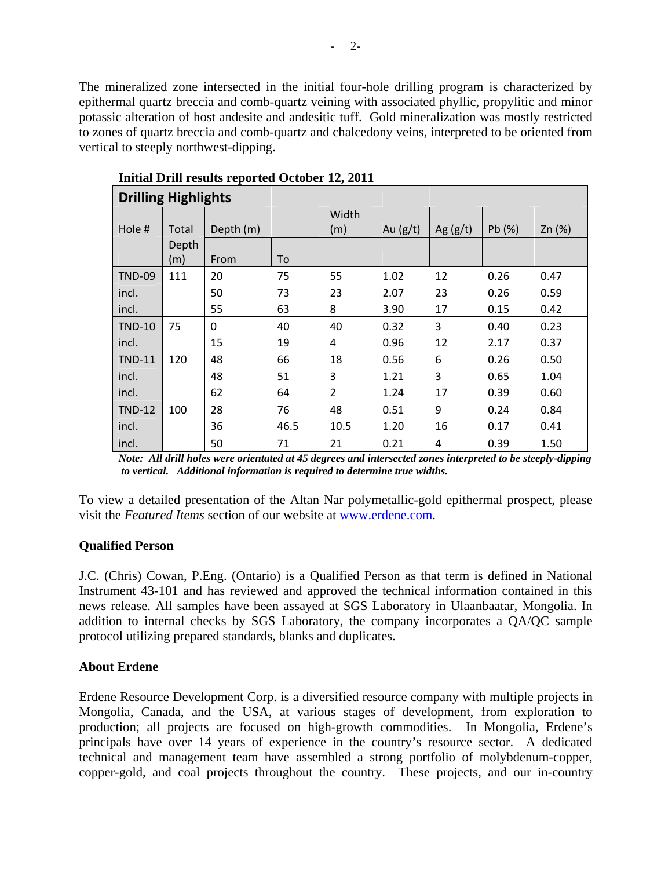The mineralized zone intersected in the initial four-hole drilling program is characterized by epithermal quartz breccia and comb-quartz veining with associated phyllic, propylitic and minor potassic alteration of host andesite and andesitic tuff. Gold mineralization was mostly restricted to zones of quartz breccia and comb-quartz and chalcedony veins, interpreted to be oriented from vertical to steeply northwest-dipping.

| <b>Drilling Highlights</b> |       |           |      |                |            |            |       |          |
|----------------------------|-------|-----------|------|----------------|------------|------------|-------|----------|
|                            |       |           |      | Width          |            |            |       |          |
| Hole #                     | Total | Depth (m) |      | (m)            | Au $(g/t)$ | Ag $(g/t)$ | Pb(%) | Zn $(%)$ |
|                            | Depth |           |      |                |            |            |       |          |
|                            | (m)   | From      | To   |                |            |            |       |          |
| <b>TND-09</b>              | 111   | 20        | 75   | 55             | 1.02       | 12         | 0.26  | 0.47     |
| incl.                      |       | 50        | 73   | 23             | 2.07       | 23         | 0.26  | 0.59     |
| incl.                      |       | 55        | 63   | 8              | 3.90       | 17         | 0.15  | 0.42     |
| <b>TND-10</b>              | 75    | 0         | 40   | 40             | 0.32       | 3          | 0.40  | 0.23     |
| incl.                      |       | 15        | 19   | 4              | 0.96       | 12         | 2.17  | 0.37     |
| <b>TND-11</b>              | 120   | 48        | 66   | 18             | 0.56       | 6          | 0.26  | 0.50     |
| incl.                      |       | 48        | 51   | 3              | 1.21       | 3          | 0.65  | 1.04     |
| incl.                      |       | 62        | 64   | $\overline{2}$ | 1.24       | 17         | 0.39  | 0.60     |
| <b>TND-12</b>              | 100   | 28        | 76   | 48             | 0.51       | 9          | 0.24  | 0.84     |
| incl.                      |       | 36        | 46.5 | 10.5           | 1.20       | 16         | 0.17  | 0.41     |
| incl.                      |       | 50        | 71   | 21             | 0.21       | 4          | 0.39  | 1.50     |

**Initial Drill results reported October 12, 2011** 

*Note: All drill holes were orientated at 45 degrees and intersected zones interpreted to be steeply-dipping to vertical. Additional information is required to determine true widths.* 

To view a detailed presentation of the Altan Nar polymetallic-gold epithermal prospect, please visit the *Featured Items* section of our website at www.erdene.com.

## **Qualified Person**

J.C. (Chris) Cowan, P.Eng. (Ontario) is a Qualified Person as that term is defined in National Instrument 43-101 and has reviewed and approved the technical information contained in this news release. All samples have been assayed at SGS Laboratory in Ulaanbaatar, Mongolia. In addition to internal checks by SGS Laboratory, the company incorporates a QA/QC sample protocol utilizing prepared standards, blanks and duplicates.

## **About Erdene**

Erdene Resource Development Corp. is a diversified resource company with multiple projects in Mongolia, Canada, and the USA, at various stages of development, from exploration to production; all projects are focused on high-growth commodities. In Mongolia, Erdene's principals have over 14 years of experience in the country's resource sector. A dedicated technical and management team have assembled a strong portfolio of molybdenum-copper, copper-gold, and coal projects throughout the country. These projects, and our in-country